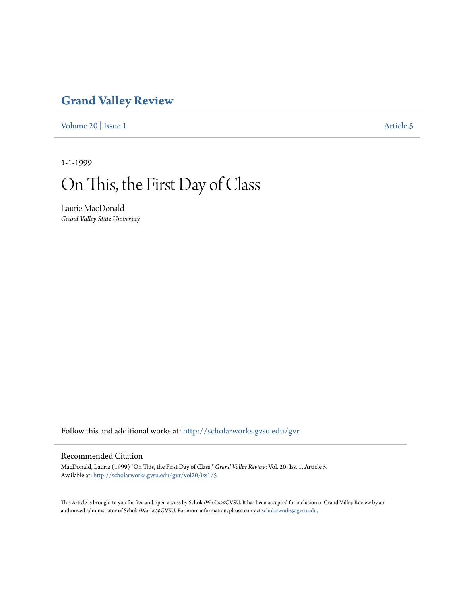## **[Grand Valley Review](http://scholarworks.gvsu.edu/gvr?utm_source=scholarworks.gvsu.edu%2Fgvr%2Fvol20%2Fiss1%2F5&utm_medium=PDF&utm_campaign=PDFCoverPages)**

[Volume 20](http://scholarworks.gvsu.edu/gvr/vol20?utm_source=scholarworks.gvsu.edu%2Fgvr%2Fvol20%2Fiss1%2F5&utm_medium=PDF&utm_campaign=PDFCoverPages) | [Issue 1](http://scholarworks.gvsu.edu/gvr/vol20/iss1?utm_source=scholarworks.gvsu.edu%2Fgvr%2Fvol20%2Fiss1%2F5&utm_medium=PDF&utm_campaign=PDFCoverPages) [Article 5](http://scholarworks.gvsu.edu/gvr/vol20/iss1/5?utm_source=scholarworks.gvsu.edu%2Fgvr%2Fvol20%2Fiss1%2F5&utm_medium=PDF&utm_campaign=PDFCoverPages)

1-1-1999

## On This, the First Day of Class

Laurie MacDonald *Grand Valley State University*

Follow this and additional works at: [http://scholarworks.gvsu.edu/gvr](http://scholarworks.gvsu.edu/gvr?utm_source=scholarworks.gvsu.edu%2Fgvr%2Fvol20%2Fiss1%2F5&utm_medium=PDF&utm_campaign=PDFCoverPages)

## Recommended Citation

MacDonald, Laurie (1999) "On This, the First Day of Class," *Grand Valley Review*: Vol. 20: Iss. 1, Article 5. Available at: [http://scholarworks.gvsu.edu/gvr/vol20/iss1/5](http://scholarworks.gvsu.edu/gvr/vol20/iss1/5?utm_source=scholarworks.gvsu.edu%2Fgvr%2Fvol20%2Fiss1%2F5&utm_medium=PDF&utm_campaign=PDFCoverPages)

This Article is brought to you for free and open access by ScholarWorks@GVSU. It has been accepted for inclusion in Grand Valley Review by an authorized administrator of ScholarWorks@GVSU. For more information, please contact [scholarworks@gvsu.edu.](mailto:scholarworks@gvsu.edu)